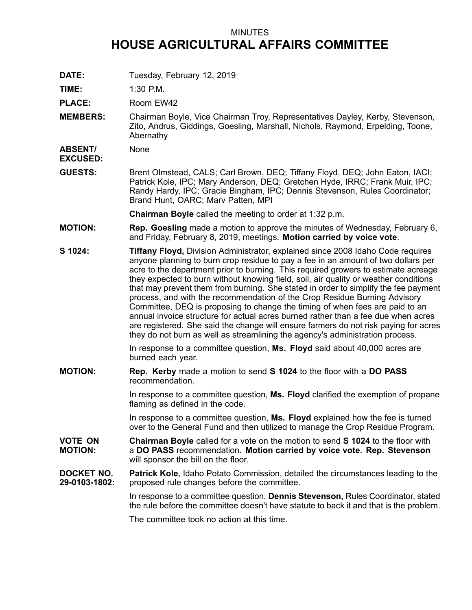## MINUTES **HOUSE AGRICULTURAL AFFAIRS COMMITTEE**

**DATE:** Tuesday, February 12, 2019

**TIME:** 1:30 P.M.

PLACE: Room EW42

**MEMBERS:** Chairman Boyle, Vice Chairman Troy, Representatives Dayley, Kerby, Stevenson, Zito, Andrus, Giddings, Goesling, Marshall, Nichols, Raymond, Erpelding, Toone, Abernathy

**ABSENT/ EXCUSED:** None

**GUESTS:** Brent Olmstead, CALS; Carl Brown, DEQ; Tiffany Floyd, DEQ; John Eaton, IACI; Patrick Kole, IPC; Mary Anderson, DEQ; Gretchen Hyde, IRRC; Frank Muir, IPC; Randy Hardy, IPC; Gracie Bingham, IPC; Dennis Stevenson, Rules Coordinator; Brand Hunt, OARC; Marv Patten, MPI

**Chairman Boyle** called the meeting to order at 1:32 p.m.

- **MOTION: Rep. Goesling** made <sup>a</sup> motion to approve the minutes of Wednesday, February 6, and Friday, February 8, 2019, meetings. **Motion carried by voice vote**.
- **S 1024: Tiffany Floyd,** Division Administrator, explained since 2008 Idaho Code requires anyone planning to burn crop residue to pay <sup>a</sup> fee in an amount of two dollars per acre to the department prior to burning. This required growers to estimate acreage they expected to burn without knowing field, soil, air quality or weather conditions that may prevent them from burning. She stated in order to simplify the fee payment process, and with the recommendation of the Crop Residue Burning Advisory Committee, DEQ is proposing to change the timing of when fees are paid to an annual invoice structure for actual acres burned rather than a fee due when acres are registered. She said the change will ensure farmers do not risk paying for acres they do not burn as well as streamlining the agency's administration process.

In response to <sup>a</sup> committee question, **Ms. Floyd** said about 40,000 acres are burned each year.

**MOTION: Rep. Kerby** made <sup>a</sup> motion to send **S 1024** to the floor with <sup>a</sup> **DO PASS** recommendation.

> In response to <sup>a</sup> committee question, **Ms. Floyd** clarified the exemption of propane flaming as defined in the code.

In response to <sup>a</sup> committee question, **Ms. Floyd** explained how the fee is turned over to the General Fund and then utilized to manage the Crop Residue Program.

**VOTE ON MOTION: Chairman Boyle** called for <sup>a</sup> vote on the motion to send **S 1024** to the floor with <sup>a</sup> **DO PASS** recommendation. **Motion carried by voice vote**. **Rep. Stevenson** will sponsor the bill on the floor.

**DOCKET NO. 29-0103-1802: Patrick Kole**, Idaho Potato Commission, detailed the circumstances leading to the proposed rule changes before the committee.

> In response to <sup>a</sup> committee question, **Dennis Stevenson,** Rules Coordinator, stated the rule before the committee doesn't have statute to back it and that is the problem.

The committee took no action at this time.